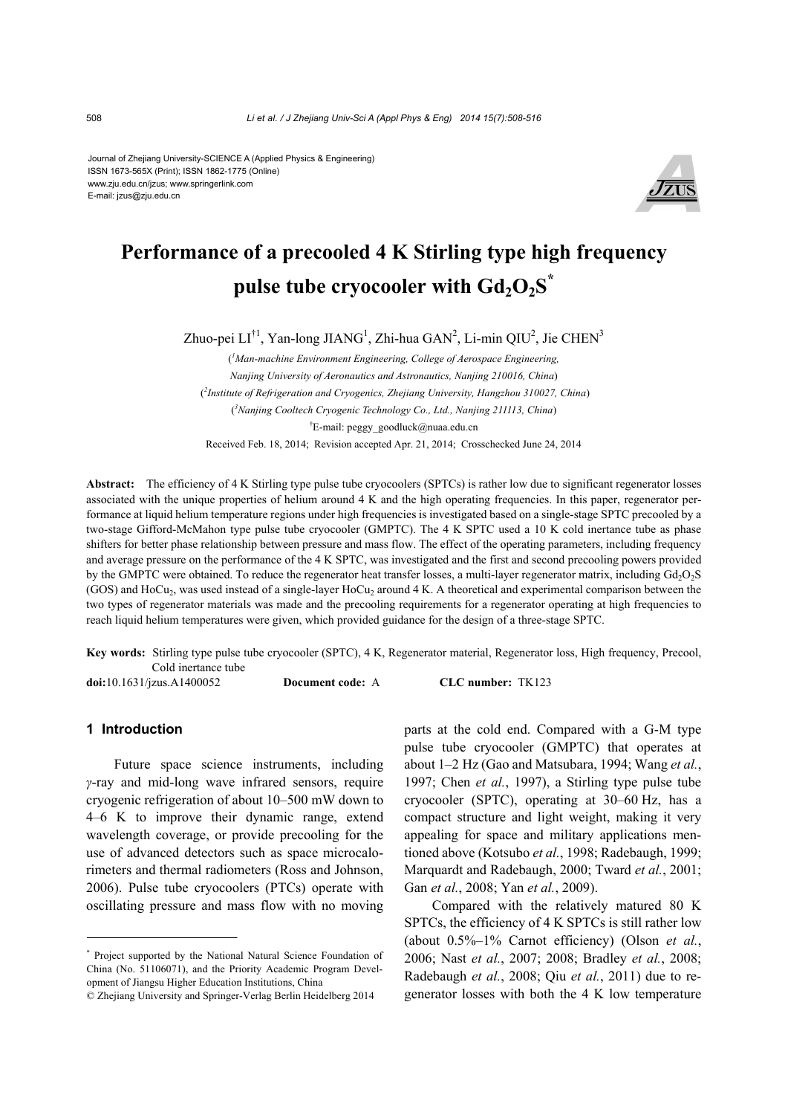Journal of Zhejiang University-SCIENCE A (Applied Physics & Engineering) ISSN 1673-565X (Print); ISSN 1862-1775 (Online) www.zju.edu.cn/jzus; www.springerlink.com E-mail: jzus@zju.edu.cn



# **Performance of a precooled 4 K Stirling type high frequency pulse tube cryocooler with**  $Gd_2O_2S^*$

Zhuo-pei  $LI^{\dagger 1}$ , Yan-long JIANG<sup>1</sup>, Zhi-hua GAN<sup>2</sup>, Li-min QIU<sup>2</sup>, Jie CHEN<sup>3</sup>

( *1 Man-machine Environment Engineering, College of Aerospace Engineering, Nanjing University of Aeronautics and Astronautics, Nanjing 210016, China*) ( *2 Institute of Refrigeration and Cryogenics, Zhejiang University, Hangzhou 310027, China*) ( *3 Nanjing Cooltech Cryogenic Technology Co., Ltd., Nanjing 211113, China*) † E-mail: peggy\_goodluck@nuaa.edu.cn Received Feb. 18, 2014; Revision accepted Apr. 21, 2014; Crosschecked June 24, 2014

Abstract: The efficiency of 4 K Stirling type pulse tube cryocoolers (SPTCs) is rather low due to significant regenerator losses associated with the unique properties of helium around 4 K and the high operating frequencies. In this paper, regenerator performance at liquid helium temperature regions under high frequencies is investigated based on a single-stage SPTC precooled by a two-stage Gifford-McMahon type pulse tube cryocooler (GMPTC). The 4 K SPTC used a 10 K cold inertance tube as phase shifters for better phase relationship between pressure and mass flow. The effect of the operating parameters, including frequency and average pressure on the performance of the 4 K SPTC, was investigated and the first and second precooling powers provided by the GMPTC were obtained. To reduce the regenerator heat transfer losses, a multi-layer regenerator matrix, including  $Gd<sub>2</sub>O<sub>2</sub>S$  $(GOS)$  and HoCu<sub>2</sub>, was used instead of a single-layer HoCu<sub>2</sub> around 4 K. A theoretical and experimental comparison between the two types of regenerator materials was made and the precooling requirements for a regenerator operating at high frequencies to reach liquid helium temperatures were given, which provided guidance for the design of a three-stage SPTC.

**Key words:** Stirling type pulse tube cryocooler (SPTC), 4 K, Regenerator material, Regenerator loss, High frequency, Precool, Cold inertance tube

**doi:**10.1631/jzus.A1400052 **Document code:** A **CLC number:** TK123

## **1 Introduction**

Future space science instruments, including *γ*-ray and mid-long wave infrared sensors, require cryogenic refrigeration of about 10–500 mW down to 4–6 K to improve their dynamic range, extend wavelength coverage, or provide precooling for the use of advanced detectors such as space microcalorimeters and thermal radiometers (Ross and Johnson, 2006). Pulse tube cryocoolers (PTCs) operate with oscillating pressure and mass flow with no moving

parts at the cold end. Compared with a G-M type pulse tube cryocooler (GMPTC) that operates at about 1–2 Hz (Gao and Matsubara, 1994; Wang *et al.*, 1997; Chen *et al.*, 1997), a Stirling type pulse tube cryocooler (SPTC), operating at 30–60 Hz, has a compact structure and light weight, making it very appealing for space and military applications mentioned above (Kotsubo *et al.*, 1998; Radebaugh, 1999; Marquardt and Radebaugh, 2000; Tward *et al.*, 2001; Gan *et al.*, 2008; Yan *et al.*, 2009).

Compared with the relatively matured 80 K SPTCs, the efficiency of 4 K SPTCs is still rather low (about 0.5%–1% Carnot efficiency) (Olson *et al.*, 2006; Nast *et al.*, 2007; 2008; Bradley *et al.*, 2008; Radebaugh *et al.*, 2008; Qiu *et al.*, 2011) due to regenerator losses with both the 4 K low temperature

<sup>\*</sup> Project supported by the National Natural Science Foundation of China (No. 51106071), and the Priority Academic Program Development of Jiangsu Higher Education Institutions, China

<sup>©</sup> Zhejiang University and Springer-Verlag Berlin Heidelberg 2014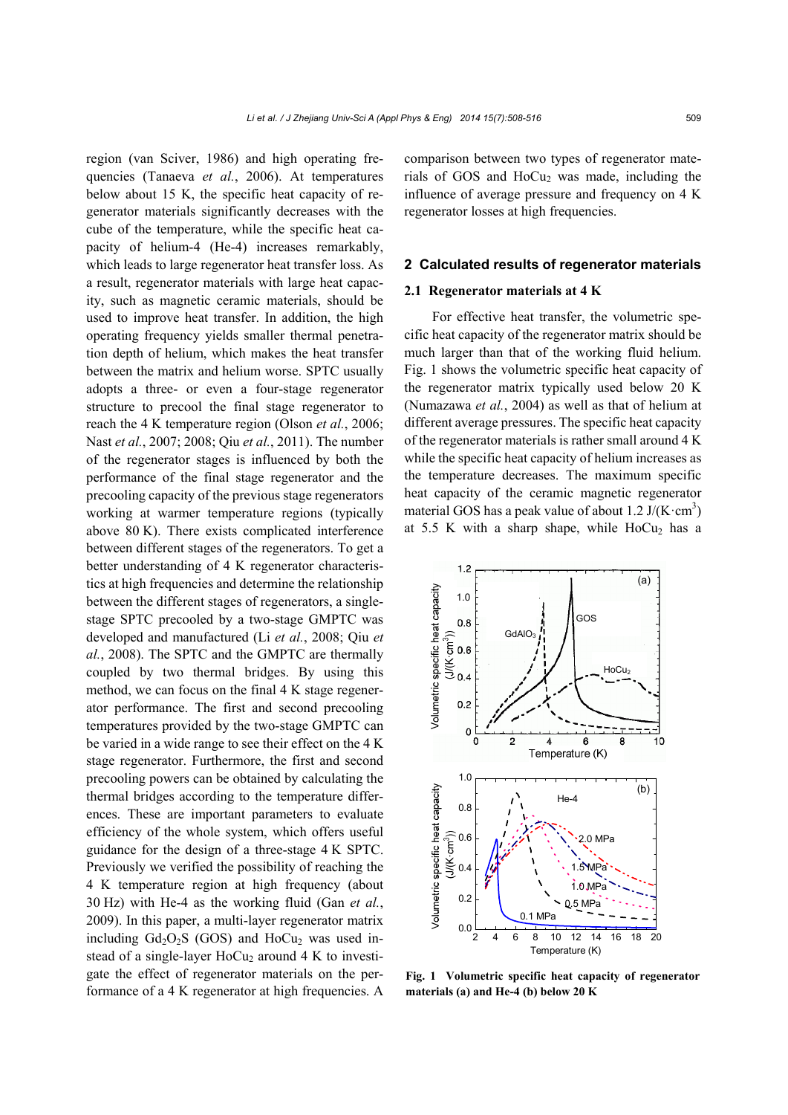region (van Sciver, 1986) and high operating frequencies (Tanaeva *et al.*, 2006). At temperatures below about 15 K, the specific heat capacity of regenerator materials significantly decreases with the cube of the temperature, while the specific heat capacity of helium-4 (He-4) increases remarkably, which leads to large regenerator heat transfer loss. As a result, regenerator materials with large heat capacity, such as magnetic ceramic materials, should be used to improve heat transfer. In addition, the high operating frequency yields smaller thermal penetration depth of helium, which makes the heat transfer between the matrix and helium worse. SPTC usually adopts a three- or even a four-stage regenerator structure to precool the final stage regenerator to reach the 4 K temperature region (Olson *et al.*, 2006; Nast *et al.*, 2007; 2008; Qiu *et al.*, 2011). The number of the regenerator stages is influenced by both the performance of the final stage regenerator and the precooling capacity of the previous stage regenerators working at warmer temperature regions (typically above 80 K). There exists complicated interference between different stages of the regenerators. To get a better understanding of 4 K regenerator characteristics at high frequencies and determine the relationship between the different stages of regenerators, a singlestage SPTC precooled by a two-stage GMPTC was developed and manufactured (Li *et al.*, 2008; Qiu *et al.*, 2008). The SPTC and the GMPTC are thermally coupled by two thermal bridges. By using this method, we can focus on the final 4 K stage regenerator performance. The first and second precooling temperatures provided by the two-stage GMPTC can be varied in a wide range to see their effect on the 4 K stage regenerator. Furthermore, the first and second precooling powers can be obtained by calculating the thermal bridges according to the temperature differences. These are important parameters to evaluate efficiency of the whole system, which offers useful guidance for the design of a three-stage 4 K SPTC. Previously we verified the possibility of reaching the 4 K temperature region at high frequency (about 30 Hz) with He-4 as the working fluid (Gan *et al.*, 2009). In this paper, a multi-layer regenerator matrix including  $Gd_2O_2S$  (GOS) and  $HoCu_2$  was used instead of a single-layer  $HoCu<sub>2</sub>$  around 4 K to investigate the effect of regenerator materials on the performance of a 4 K regenerator at high frequencies. A comparison between two types of regenerator materials of GOS and  $HoCu<sub>2</sub>$  was made, including the influence of average pressure and frequency on 4 K regenerator losses at high frequencies.

### **2 Calculated results of regenerator materials**

#### **2.1 Regenerator materials at 4 K**

For effective heat transfer, the volumetric specific heat capacity of the regenerator matrix should be much larger than that of the working fluid helium. Fig. 1 shows the volumetric specific heat capacity of the regenerator matrix typically used below 20 K (Numazawa *et al.*, 2004) as well as that of helium at different average pressures. The specific heat capacity of the regenerator materials is rather small around 4 K while the specific heat capacity of helium increases as the temperature decreases. The maximum specific heat capacity of the ceramic magnetic regenerator material GOS has a peak value of about 1.2  $J/(K \cdot cm^3)$ at 5.5 K with a sharp shape, while  $HoCu<sub>2</sub>$  has a



**Fig. 1 Volumetric specific heat capacity of regenerator materials (a) and He-4 (b) below 20 K**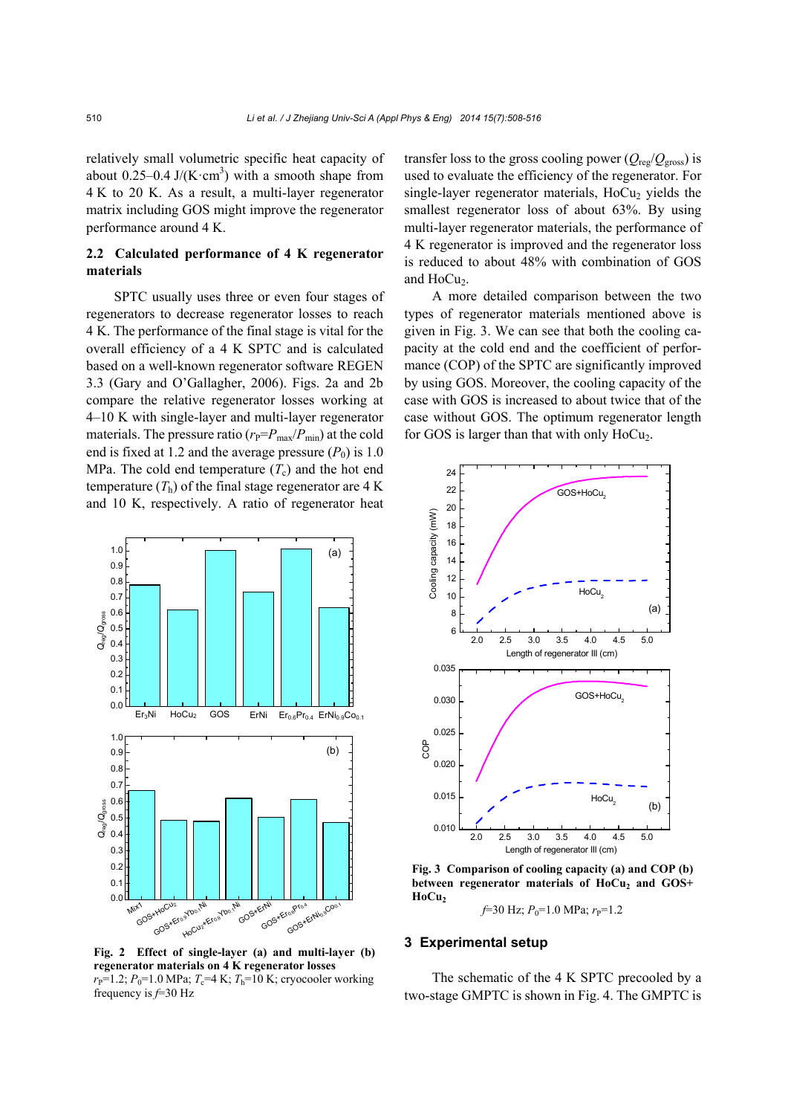relatively small volumetric specific heat capacity of about 0.25–0.4 J/ $(K \cdot cm^3)$  with a smooth shape from 4 K to 20 K. As a result, a multi-layer regenerator matrix including GOS might improve the regenerator performance around 4 K.

# **2.2 Calculated performance of 4 K regenerator materials**

SPTC usually uses three or even four stages of regenerators to decrease regenerator losses to reach 4 K. The performance of the final stage is vital for the overall efficiency of a 4 K SPTC and is calculated based on a well-known regenerator software REGEN 3.3 (Gary and O'Gallagher, 2006). Figs. 2a and 2b compare the relative regenerator losses working at 4–10 K with single-layer and multi-layer regenerator materials. The pressure ratio  $(r_P = P_{\text{max}}/P_{\text{min}})$  at the cold end is fixed at 1.2 and the average pressure  $(P_0)$  is 1.0 MPa. The cold end temperature  $(T_c)$  and the hot end temperature  $(T_h)$  of the final stage regenerator are 4 K and 10 K, respectively. A ratio of regenerator heat



**Fig. 2 Effect of single-layer (a) and multi-layer (b) regenerator materials on 4 K regenerator losses**   $r_{\rm P}$ =1.2;  $P_0$ =1.0 MPa;  $T_c$ =4 K;  $T_h$ =10 K; cryocooler working frequency is *f*=30 Hz

transfer loss to the gross cooling power ( $Q_{\text{reg}}/Q_{\text{gross}}$ ) is used to evaluate the efficiency of the regenerator. For single-layer regenerator materials,  $HoCu<sub>2</sub>$  yields the smallest regenerator loss of about 63%. By using multi-layer regenerator materials, the performance of 4 K regenerator is improved and the regenerator loss is reduced to about 48% with combination of GOS and HoCu<sub>2</sub>.

A more detailed comparison between the two types of regenerator materials mentioned above is given in Fig. 3. We can see that both the cooling capacity at the cold end and the coefficient of performance (COP) of the SPTC are significantly improved by using GOS. Moreover, the cooling capacity of the case with GOS is increased to about twice that of the case without GOS. The optimum regenerator length for GOS is larger than that with only  $HoCu<sub>2</sub>$ .



**Fig. 3 Comparison of cooling capacity (a) and COP (b)**  between regenerator materials of HoCu<sub>2</sub> and GOS+ HoCu<sub>2</sub>

*f*=30 Hz;  $P_0$ =1.0 MPa;  $r_P$ =1.2

#### **3 Experimental setup**

The schematic of the 4 K SPTC precooled by a two-stage GMPTC is shown in Fig. 4. The GMPTC is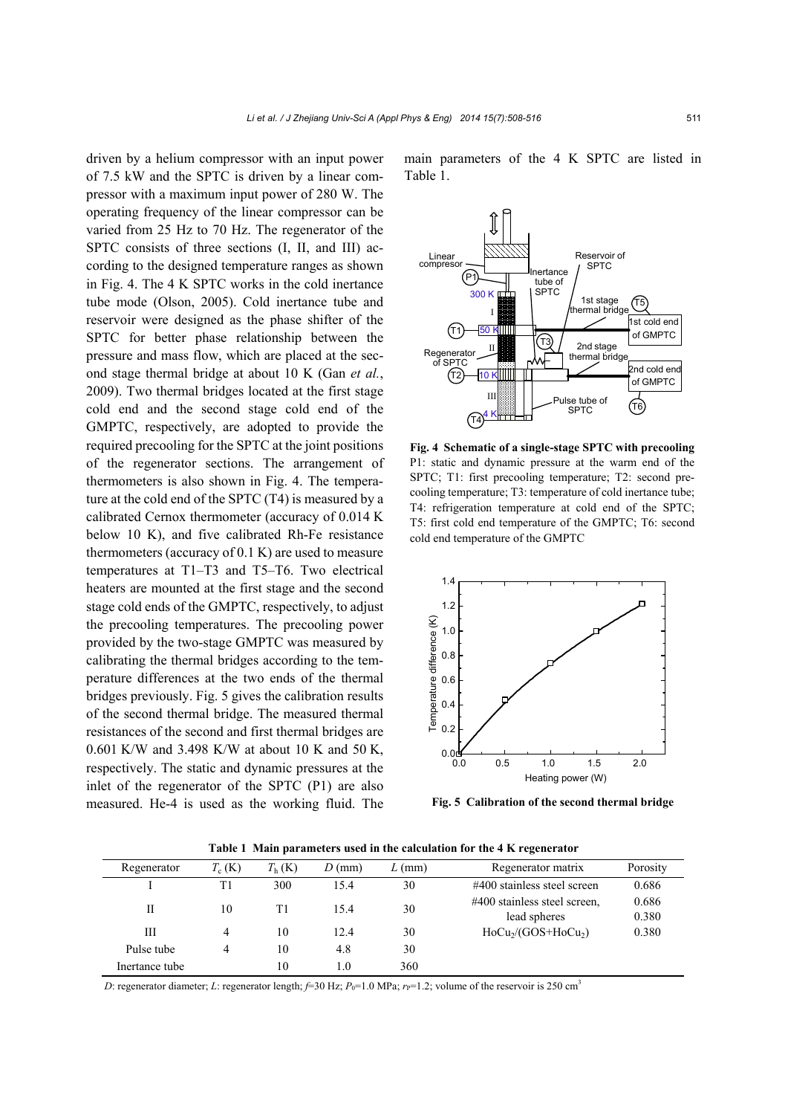driven by a helium compressor with an input power of 7.5 kW and the SPTC is driven by a linear compressor with a maximum input power of 280 W. The operating frequency of the linear compressor can be varied from 25 Hz to 70 Hz. The regenerator of the SPTC consists of three sections (I, II, and III) according to the designed temperature ranges as shown in Fig. 4. The 4 K SPTC works in the cold inertance tube mode (Olson, 2005). Cold inertance tube and reservoir were designed as the phase shifter of the SPTC for better phase relationship between the pressure and mass flow, which are placed at the second stage thermal bridge at about 10 K (Gan *et al.*, 2009). Two thermal bridges located at the first stage cold end and the second stage cold end of the GMPTC, respectively, are adopted to provide the required precooling for the SPTC at the joint positions of the regenerator sections. The arrangement of thermometers is also shown in Fig. 4. The temperature at the cold end of the SPTC (T4) is measured by a calibrated Cernox thermometer (accuracy of 0.014 K below 10 K), and five calibrated Rh-Fe resistance thermometers (accuracy of 0.1 K) are used to measure temperatures at T1–T3 and T5–T6. Two electrical heaters are mounted at the first stage and the second stage cold ends of the GMPTC, respectively, to adjust the precooling temperatures. The precooling power provided by the two-stage GMPTC was measured by calibrating the thermal bridges according to the temperature differences at the two ends of the thermal bridges previously. Fig. 5 gives the calibration results of the second thermal bridge. The measured thermal resistances of the second and first thermal bridges are 0.601 K/W and 3.498 K/W at about 10 K and 50 K, respectively. The static and dynamic pressures at the inlet of the regenerator of the SPTC (P1) are also measured. He-4 is used as the working fluid. The main parameters of the 4 K SPTC are listed in Table 1.



**Fig. 4 Schematic of a single-stage SPTC with precooling** P1: static and dynamic pressure at the warm end of the SPTC; T1: first precooling temperature; T2: second precooling temperature; T3: temperature of cold inertance tube; T4: refrigeration temperature at cold end of the SPTC; T5: first cold end temperature of the GMPTC; T6: second cold end temperature of the GMPTC



**Fig. 5 Calibration of the second thermal bridge** 

| Regenerator    | $T_c$ (K) | $T_{\rm h}$ (K) | $D$ (mm) | $L$ (mm) | Regenerator matrix                           | Porosity       |
|----------------|-----------|-----------------|----------|----------|----------------------------------------------|----------------|
|                | T1        | 300             | 15.4     | 30       | $\#400$ stainless steel screen               | 0.686          |
| П              | 10        | T1              | 15.4     | 30       | #400 stainless steel screen,<br>lead spheres | 0.686<br>0.380 |
| Ш              | 4         | 10              | 12.4     | 30       | $HoCu2/(GOS+HoCu2)$                          | 0.380          |
| Pulse tube     | 4         | 10              | 4.8      | 30       |                                              |                |
| Inertance tube |           | 10              | 1.0      | 360      |                                              |                |

**Table 1 Main parameters used in the calculation for the 4 K regenerator** 

*D*: regenerator diameter; *L*: regenerator length; *f*=30 Hz; *P*<sub>0</sub>=1.0 MPa; *r*<sub>P</sub>=1.2; volume of the reservoir is 250 cm<sup>3</sup>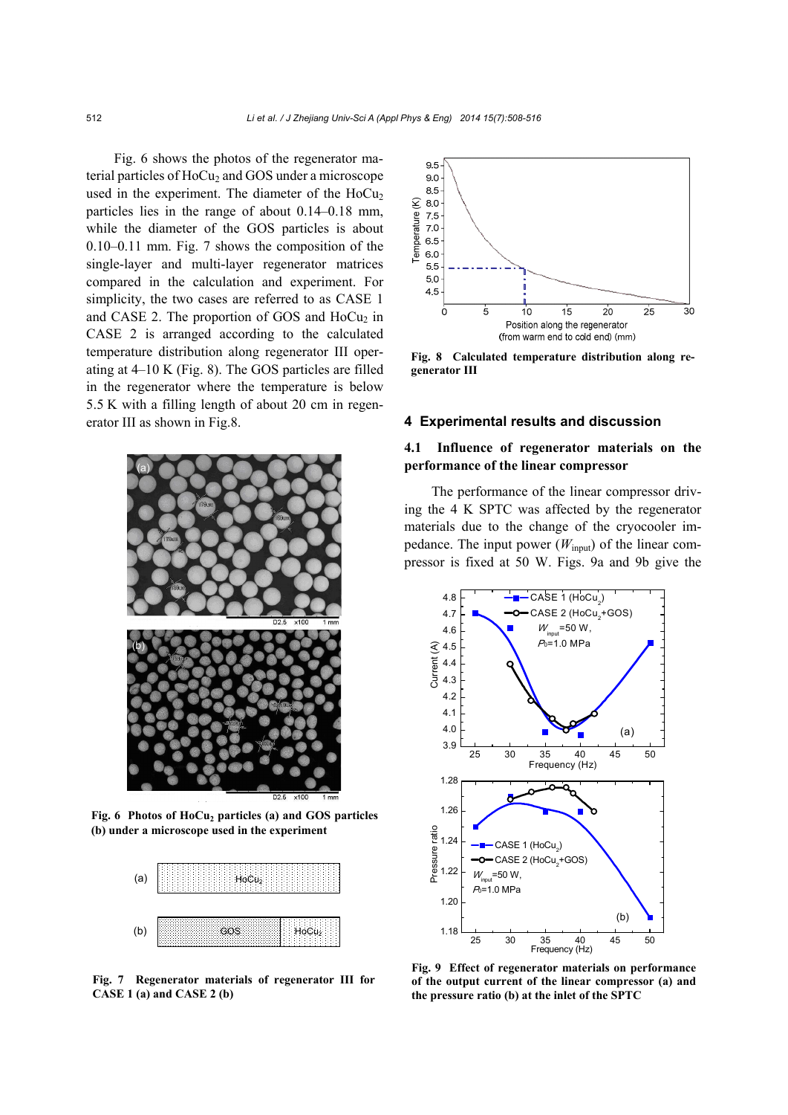Fig. 6 shows the photos of the regenerator material particles of  $HoCu<sub>2</sub>$  and  $GOS$  under a microscope used in the experiment. The diameter of the  $HoCu<sub>2</sub>$ particles lies in the range of about 0.14–0.18 mm, while the diameter of the GOS particles is about 0.10–0.11 mm. Fig. 7 shows the composition of the single-layer and multi-layer regenerator matrices compared in the calculation and experiment. For simplicity, the two cases are referred to as CASE 1 and CASE 2. The proportion of GOS and  $HoCu<sub>2</sub>$  in CASE 2 is arranged according to the calculated temperature distribution along regenerator III operating at 4–10 K (Fig. 8). The GOS particles are filled in the regenerator where the temperature is below 5.5 K with a filling length of about 20 cm in regenerator III as shown in Fig.8.



Fig. 6 Photos of HoCu<sub>2</sub> particles (a) and GOS particles **(b) under a microscope used in the experiment** 



**Fig. 7 Regenerator materials of regenerator III for CASE 1 (a) and CASE 2 (b)**



**Fig. 8 Calculated temperature distribution along regenerator III**

### **4 Experimental results and discussion**

## **4.1 Influence of regenerator materials on the performance of the linear compressor**

The performance of the linear compressor driving the 4 K SPTC was affected by the regenerator materials due to the change of the cryocooler impedance. The input power  $(W_{input})$  of the linear compressor is fixed at 50 W. Figs. 9a and 9b give the



**Fig. 9 Effect of regenerator materials on performance of the output current of the linear compressor (a) and the pressure ratio (b) at the inlet of the SPTC**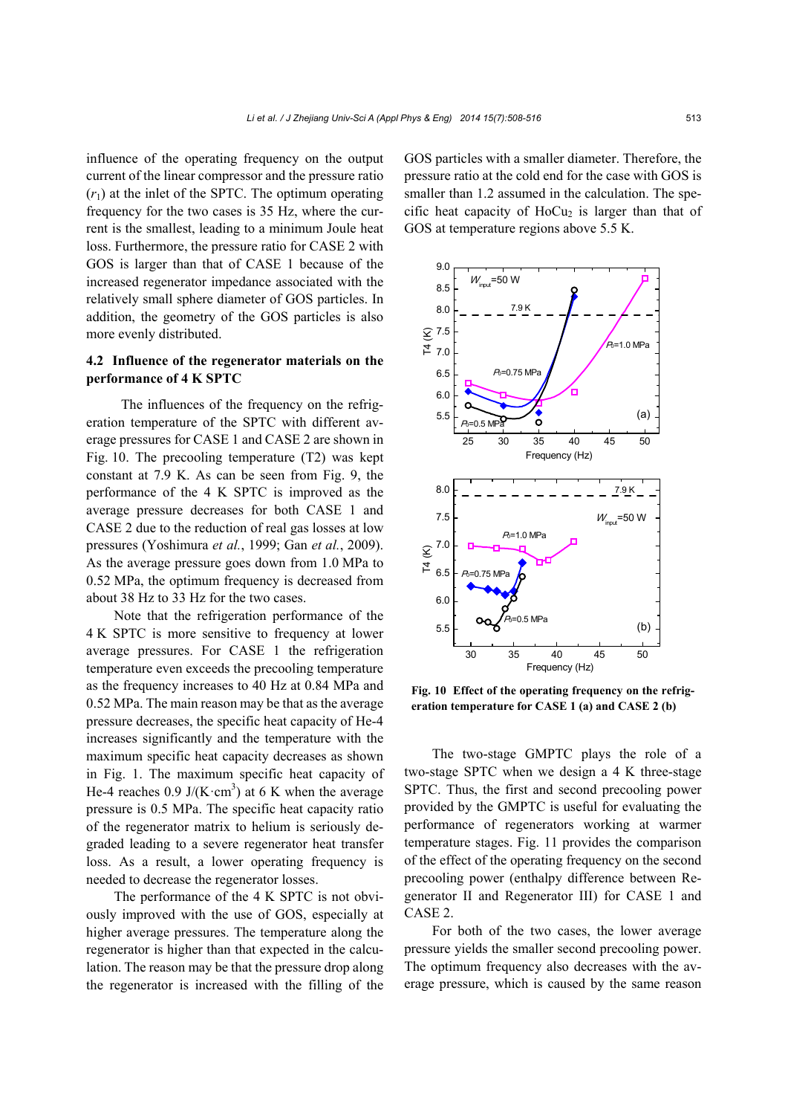influence of the operating frequency on the output current of the linear compressor and the pressure ratio  $(r_1)$  at the inlet of the SPTC. The optimum operating frequency for the two cases is 35 Hz, where the current is the smallest, leading to a minimum Joule heat loss. Furthermore, the pressure ratio for CASE 2 with GOS is larger than that of CASE 1 because of the increased regenerator impedance associated with the relatively small sphere diameter of GOS particles. In addition, the geometry of the GOS particles is also more evenly distributed.

## **4.2 Influence of the regenerator materials on the performance of 4 K SPTC**

The influences of the frequency on the refrigeration temperature of the SPTC with different average pressures for CASE 1 and CASE 2 are shown in Fig. 10. The precooling temperature (T2) was kept constant at 7.9 K. As can be seen from Fig. 9, the performance of the 4 K SPTC is improved as the average pressure decreases for both CASE 1 and CASE 2 due to the reduction of real gas losses at low pressures (Yoshimura *et al.*, 1999; Gan *et al.*, 2009). As the average pressure goes down from 1.0 MPa to 0.52 MPa, the optimum frequency is decreased from about 38 Hz to 33 Hz for the two cases.

Note that the refrigeration performance of the 4 K SPTC is more sensitive to frequency at lower average pressures. For CASE 1 the refrigeration temperature even exceeds the precooling temperature as the frequency increases to 40 Hz at 0.84 MPa and 0.52 MPa. The main reason may be that as the average pressure decreases, the specific heat capacity of He-4 increases significantly and the temperature with the maximum specific heat capacity decreases as shown in Fig. 1. The maximum specific heat capacity of He-4 reaches 0.9 J/(K·cm<sup>3</sup>) at 6 K when the average pressure is 0.5 MPa. The specific heat capacity ratio of the regenerator matrix to helium is seriously degraded leading to a severe regenerator heat transfer loss. As a result, a lower operating frequency is needed to decrease the regenerator losses.

The performance of the 4 K SPTC is not obviously improved with the use of GOS, especially at higher average pressures. The temperature along the regenerator is higher than that expected in the calculation. The reason may be that the pressure drop along the regenerator is increased with the filling of the

GOS particles with a smaller diameter. Therefore, the pressure ratio at the cold end for the case with GOS is smaller than 1.2 assumed in the calculation. The specific heat capacity of  $HoCu<sub>2</sub>$  is larger than that of GOS at temperature regions above 5.5 K.



**Fig. 10 Effect of the operating frequency on the refrigeration temperature for CASE 1 (a) and CASE 2 (b)**

The two-stage GMPTC plays the role of a two-stage SPTC when we design a 4 K three-stage SPTC. Thus, the first and second precooling power provided by the GMPTC is useful for evaluating the performance of regenerators working at warmer temperature stages. Fig. 11 provides the comparison of the effect of the operating frequency on the second precooling power (enthalpy difference between Regenerator II and Regenerator III) for CASE 1 and CASE 2.

For both of the two cases, the lower average pressure yields the smaller second precooling power. The optimum frequency also decreases with the average pressure, which is caused by the same reason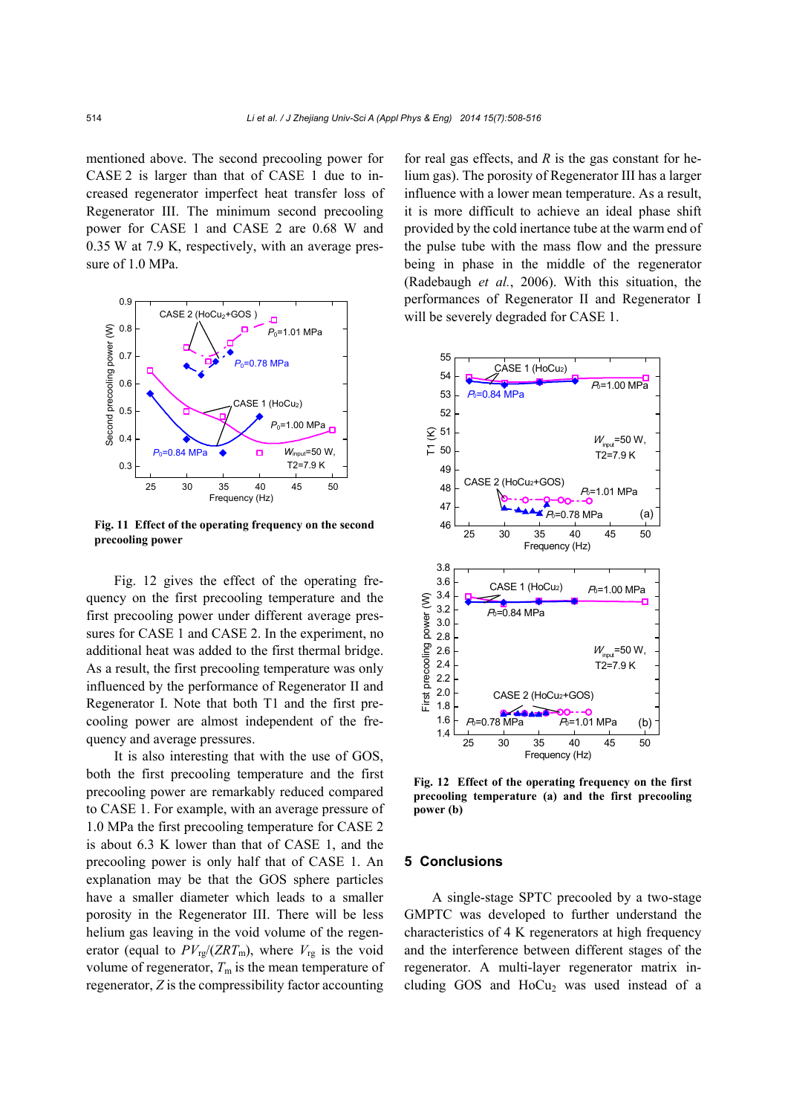mentioned above. The second precooling power for CASE 2 is larger than that of CASE 1 due to increased regenerator imperfect heat transfer loss of Regenerator III. The minimum second precooling power for CASE 1 and CASE 2 are 0.68 W and 0.35 W at 7.9 K, respectively, with an average pressure of 1.0 MPa.



**Fig. 11 Effect of the operating frequency on the second precooling power**

Fig. 12 gives the effect of the operating frequency on the first precooling temperature and the first precooling power under different average pressures for CASE 1 and CASE 2. In the experiment, no additional heat was added to the first thermal bridge. As a result, the first precooling temperature was only influenced by the performance of Regenerator II and Regenerator I. Note that both T1 and the first precooling power are almost independent of the frequency and average pressures.

It is also interesting that with the use of GOS, both the first precooling temperature and the first precooling power are remarkably reduced compared to CASE 1. For example, with an average pressure of 1.0 MPa the first precooling temperature for CASE 2 is about 6.3 K lower than that of CASE 1, and the precooling power is only half that of CASE 1. An explanation may be that the GOS sphere particles have a smaller diameter which leads to a smaller porosity in the Regenerator III. There will be less helium gas leaving in the void volume of the regenerator (equal to  $PV_{\text{re}}/(ZRT_{\text{m}})$ , where  $V_{\text{re}}$  is the void volume of regenerator,  $T<sub>m</sub>$  is the mean temperature of regenerator, *Z* is the compressibility factor accounting

for real gas effects, and *R* is the gas constant for helium gas). The porosity of Regenerator III has a larger influence with a lower mean temperature. As a result, it is more difficult to achieve an ideal phase shift provided by the cold inertance tube at the warm end of the pulse tube with the mass flow and the pressure being in phase in the middle of the regenerator (Radebaugh *et al.*, 2006). With this situation, the performances of Regenerator II and Regenerator I will be severely degraded for CASE 1.



**Fig. 12 Effect of the operating frequency on the first precooling temperature (a) and the first precooling power (b)**

#### **5 Conclusions**

A single-stage SPTC precooled by a two-stage GMPTC was developed to further understand the characteristics of 4 K regenerators at high frequency and the interference between different stages of the regenerator. A multi-layer regenerator matrix including GOS and  $HoCu<sub>2</sub>$  was used instead of a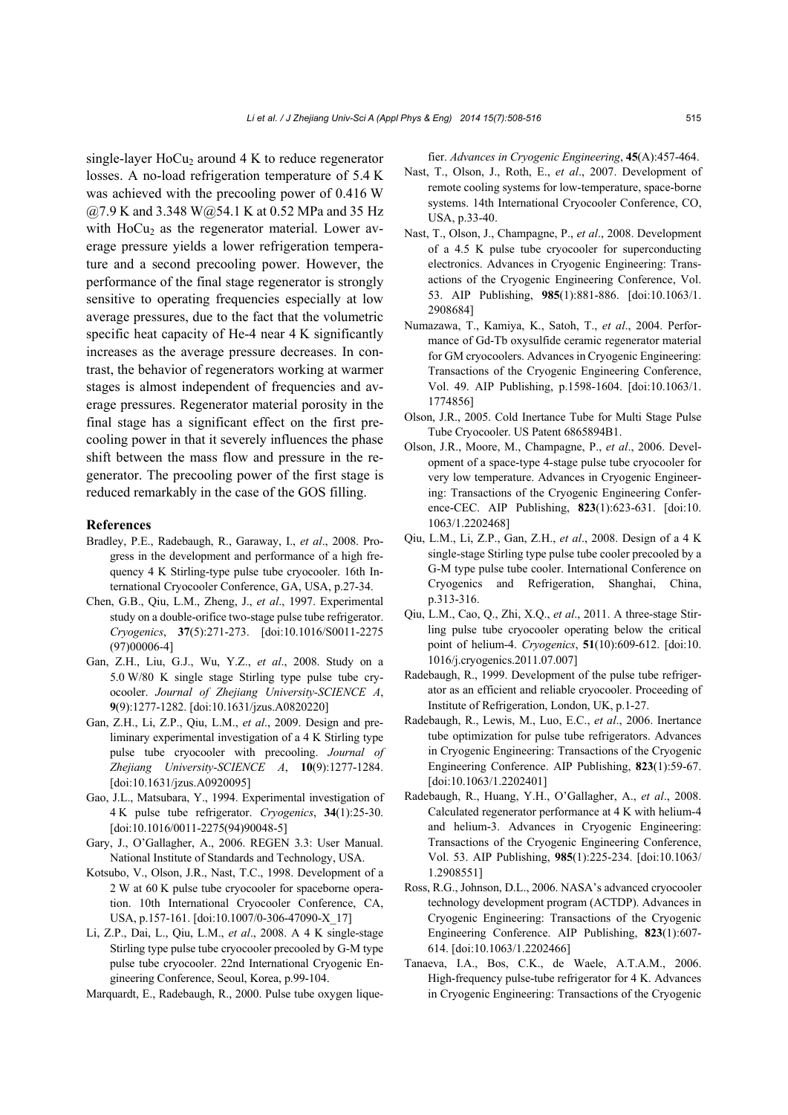single-layer  $HoCu<sub>2</sub>$  around 4 K to reduce regenerator losses. A no-load refrigeration temperature of 5.4 K was achieved with the precooling power of 0.416 W @7.9 K and 3.348 W@54.1 K at 0.52 MPa and 35 Hz with  $HoCu<sub>2</sub>$  as the regenerator material. Lower average pressure yields a lower refrigeration temperature and a second precooling power. However, the performance of the final stage regenerator is strongly sensitive to operating frequencies especially at low average pressures, due to the fact that the volumetric specific heat capacity of He-4 near 4 K significantly increases as the average pressure decreases. In contrast, the behavior of regenerators working at warmer stages is almost independent of frequencies and average pressures. Regenerator material porosity in the final stage has a significant effect on the first precooling power in that it severely influences the phase shift between the mass flow and pressure in the regenerator. The precooling power of the first stage is reduced remarkably in the case of the GOS filling.

#### **References**

- Bradley, P.E., Radebaugh, R., Garaway, I., *et al*., 2008. Progress in the development and performance of a high frequency 4 K Stirling-type pulse tube cryocooler. 16th International Cryocooler Conference, GA, USA, p.27-34.
- Chen, G.B., Qiu, L.M., Zheng, J., *et al*., 1997. Experimental study on a double-orifice two-stage pulse tube refrigerator. *Cryogenics*, **37**(5):271-273. [doi:10.1016/S0011-2275 (97)00006-4]
- Gan, Z.H., Liu, G.J., Wu, Y.Z., *et al*., 2008. Study on a 5.0 W/80 K single stage Stirling type pulse tube cryocooler. *Journal of Zhejiang University-SCIENCE A*, **9**(9):1277-1282. [doi:10.1631/jzus.A0820220]
- Gan, Z.H., Li, Z.P., Qiu, L.M., *et al*., 2009. Design and preliminary experimental investigation of a 4 K Stirling type pulse tube cryocooler with precooling. *Journal of Zhejiang University-SCIENCE A*, **10**(9):1277-1284. [doi:10.1631/jzus.A0920095]
- Gao, J.L., Matsubara, Y., 1994. Experimental investigation of 4 K pulse tube refrigerator. *Cryogenics*, **34**(1):25-30. [doi:10.1016/0011-2275(94)90048-5]
- Gary, J., O'Gallagher, A., 2006. REGEN 3.3: User Manual. National Institute of Standards and Technology, USA.
- Kotsubo, V., Olson, J.R., Nast, T.C., 1998. Development of a 2 W at 60 K pulse tube cryocooler for spaceborne operation. 10th International Cryocooler Conference, CA, USA, p.157-161. [doi:10.1007/0-306-47090-X\_17]
- Li, Z.P., Dai, L., Qiu, L.M., *et al*., 2008. A 4 K single-stage Stirling type pulse tube cryocooler precooled by G-M type pulse tube cryocooler. 22nd International Cryogenic Engineering Conference, Seoul, Korea, p.99-104.

Marquardt, E., Radebaugh, R., 2000. Pulse tube oxygen lique-

fier. *Advances in Cryogenic Engineering*, **45**(A):457-464.

- Nast, T., Olson, J., Roth, E., *et al*., 2007. Development of remote cooling systems for low-temperature, space-borne systems. 14th International Cryocooler Conference, CO, USA, p.33-40.
- Nast, T., Olson, J., Champagne, P., *et al*., 2008. Development of a 4.5 K pulse tube cryocooler for superconducting electronics. Advances in Cryogenic Engineering: Transactions of the Cryogenic Engineering Conference, Vol. 53. AIP Publishing, **985**(1):881-886. [doi:10.1063/1. 2908684]
- Numazawa, T., Kamiya, K., Satoh, T., *et al*., 2004. Performance of Gd-Tb oxysulfide ceramic regenerator material for GM cryocoolers. Advances in Cryogenic Engineering: Transactions of the Cryogenic Engineering Conference, Vol. 49. AIP Publishing, p.1598-1604. [doi:10.1063/1. 1774856]
- Olson, J.R., 2005. Cold Inertance Tube for Multi Stage Pulse Tube Cryocooler. US Patent 6865894B1.
- Olson, J.R., Moore, M., Champagne, P., *et al*., 2006. Development of a space-type 4-stage pulse tube cryocooler for very low temperature. Advances in Cryogenic Engineering: Transactions of the Cryogenic Engineering Conference-CEC. AIP Publishing, **823**(1):623-631. [doi:10. 1063/1.2202468]
- Qiu, L.M., Li, Z.P., Gan, Z.H., *et al*., 2008. Design of a 4 K single-stage Stirling type pulse tube cooler precooled by a G-M type pulse tube cooler. International Conference on Cryogenics and Refrigeration, Shanghai, China, p.313-316.
- Qiu, L.M., Cao, Q., Zhi, X.Q., *et al*., 2011. A three-stage Stirling pulse tube cryocooler operating below the critical point of helium-4. *Cryogenics*, **51**(10):609-612. [doi:10. 1016/j.cryogenics.2011.07.007]
- Radebaugh, R., 1999. Development of the pulse tube refrigerator as an efficient and reliable cryocooler. Proceeding of Institute of Refrigeration, London, UK, p.1-27.
- Radebaugh, R., Lewis, M., Luo, E.C., *et al*., 2006. Inertance tube optimization for pulse tube refrigerators. Advances in Cryogenic Engineering: Transactions of the Cryogenic Engineering Conference. AIP Publishing, **823**(1):59-67. [doi:10.1063/1.2202401]
- Radebaugh, R., Huang, Y.H., O'Gallagher, A., *et al*., 2008. Calculated regenerator performance at 4 K with helium-4 and helium-3. Advances in Cryogenic Engineering: Transactions of the Cryogenic Engineering Conference, Vol. 53. AIP Publishing, **985**(1):225-234. [doi:10.1063/ 1.2908551]
- Ross, R.G., Johnson, D.L., 2006. NASA's advanced cryocooler technology development program (ACTDP). Advances in Cryogenic Engineering: Transactions of the Cryogenic Engineering Conference. AIP Publishing, **823**(1):607- 614. [doi:10.1063/1.2202466]
- Tanaeva, I.A., Bos, C.K., de Waele, A.T.A.M., 2006. High-frequency pulse-tube refrigerator for 4 K. Advances in Cryogenic Engineering: Transactions of the Cryogenic